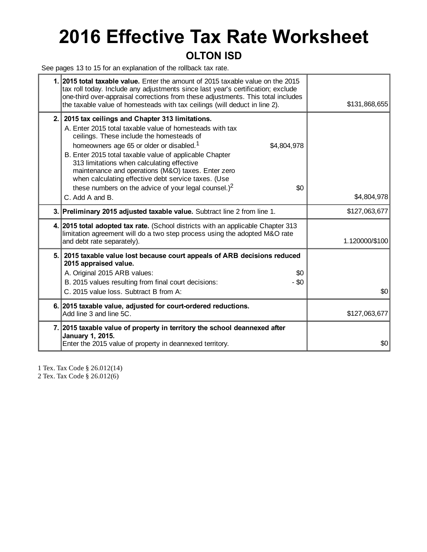# **2016 Effective Tax Rate Worksheet**

### **OLTON ISD**

See pages 13 to 15 for an explanation of the rollback tax rate.

|     | 1. 2015 total taxable value. Enter the amount of 2015 taxable value on the 2015<br>tax roll today. Include any adjustments since last year's certification; exclude<br>one-third over-appraisal corrections from these adjustments. This total includes<br>the taxable value of homesteads with tax ceilings (will deduct in line 2).                                                                                                                                                                                  | \$131,868,655  |
|-----|------------------------------------------------------------------------------------------------------------------------------------------------------------------------------------------------------------------------------------------------------------------------------------------------------------------------------------------------------------------------------------------------------------------------------------------------------------------------------------------------------------------------|----------------|
| 2.1 | 2015 tax ceilings and Chapter 313 limitations.<br>A. Enter 2015 total taxable value of homesteads with tax<br>ceilings. These include the homesteads of<br>homeowners age 65 or older or disabled. <sup>1</sup><br>\$4,804,978<br>B. Enter 2015 total taxable value of applicable Chapter<br>313 limitations when calculating effective<br>maintenance and operations (M&O) taxes. Enter zero<br>when calculating effective debt service taxes. (Use<br>these numbers on the advice of your legal counsel.) $2$<br>\$0 |                |
|     | C. Add A and B.                                                                                                                                                                                                                                                                                                                                                                                                                                                                                                        | \$4,804,978    |
|     | 3. Preliminary 2015 adjusted taxable value. Subtract line 2 from line 1.                                                                                                                                                                                                                                                                                                                                                                                                                                               | \$127,063,677  |
|     | 4. 2015 total adopted tax rate. (School districts with an applicable Chapter 313<br>limitation agreement will do a two step process using the adopted M&O rate<br>and debt rate separately).                                                                                                                                                                                                                                                                                                                           | 1.120000/\$100 |
|     | 5. 2015 taxable value lost because court appeals of ARB decisions reduced<br>2015 appraised value.<br>A. Original 2015 ARB values:<br>\$0<br>B. 2015 values resulting from final court decisions:<br>$-$ \$0<br>C. 2015 value loss. Subtract B from A:                                                                                                                                                                                                                                                                 | \$0            |
|     | 6. 2015 taxable value, adjusted for court-ordered reductions.<br>Add line 3 and line 5C.                                                                                                                                                                                                                                                                                                                                                                                                                               | \$127,063,677  |
|     | 7. 2015 taxable value of property in territory the school deannexed after<br>January 1, 2015.<br>Enter the 2015 value of property in deannexed territory.                                                                                                                                                                                                                                                                                                                                                              | \$0            |
|     |                                                                                                                                                                                                                                                                                                                                                                                                                                                                                                                        |                |

1 Tex. Tax Code § 26.012(14)

2 Tex. Tax Code § 26.012(6)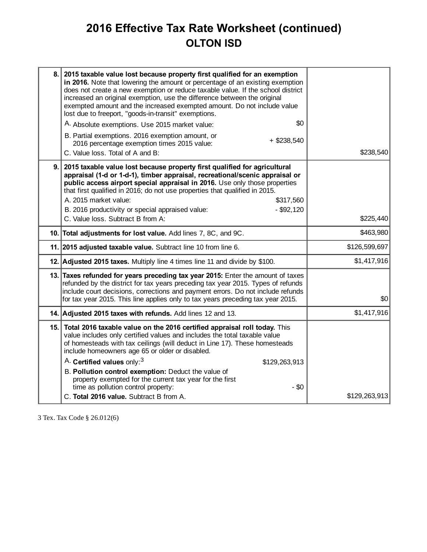## **2016 Effective Tax Rate Worksheet (continued) OLTON ISD**

| 8.1 | 2015 taxable value lost because property first qualified for an exemption<br>in 2016. Note that lowering the amount or percentage of an existing exemption<br>does not create a new exemption or reduce taxable value. If the school district<br>increased an original exemption, use the difference between the original<br>exempted amount and the increased exempted amount. Do not include value<br>lost due to freeport, "goods-in-transit" exemptions.<br>\$0<br>A. Absolute exemptions. Use 2015 market value: |               |
|-----|-----------------------------------------------------------------------------------------------------------------------------------------------------------------------------------------------------------------------------------------------------------------------------------------------------------------------------------------------------------------------------------------------------------------------------------------------------------------------------------------------------------------------|---------------|
|     | B. Partial exemptions. 2016 exemption amount, or<br>$+$ \$238,540<br>2016 percentage exemption times 2015 value:<br>C. Value loss. Total of A and B:                                                                                                                                                                                                                                                                                                                                                                  | \$238,540     |
| 9.  | 2015 taxable value lost because property first qualified for agricultural<br>appraisal (1-d or 1-d-1), timber appraisal, recreational/scenic appraisal or<br>public access airport special appraisal in 2016. Use only those properties<br>that first qualified in 2016; do not use properties that qualified in 2015.<br>A. 2015 market value:<br>\$317,560<br>$-$ \$92,120<br>B. 2016 productivity or special appraised value:<br>C. Value loss. Subtract B from A:                                                 | \$225,440     |
|     | 10. Total adjustments for lost value. Add lines 7, 8C, and 9C.                                                                                                                                                                                                                                                                                                                                                                                                                                                        | \$463,980     |
|     | 11. 2015 adjusted taxable value. Subtract line 10 from line 6.                                                                                                                                                                                                                                                                                                                                                                                                                                                        | \$126,599,697 |
|     | 12. Adjusted 2015 taxes. Multiply line 4 times line 11 and divide by \$100.                                                                                                                                                                                                                                                                                                                                                                                                                                           | \$1,417,916   |
|     | 13. Taxes refunded for years preceding tax year 2015: Enter the amount of taxes<br>refunded by the district for tax years preceding tax year 2015. Types of refunds<br>include court decisions, corrections and payment errors. Do not include refunds<br>for tax year 2015. This line applies only to tax years preceding tax year 2015.                                                                                                                                                                             | \$0           |
|     | 14. Adjusted 2015 taxes with refunds. Add lines 12 and 13.                                                                                                                                                                                                                                                                                                                                                                                                                                                            | \$1,417,916   |
|     | 15. Total 2016 taxable value on the 2016 certified appraisal roll today. This<br>value includes only certified values and includes the total taxable value<br>of homesteads with tax ceilings (will deduct in Line 17). These homesteads<br>include homeowners age 65 or older or disabled.                                                                                                                                                                                                                           |               |
|     | A. Certified values only: <sup>3</sup><br>\$129,263,913<br>B. Pollution control exemption: Deduct the value of<br>property exempted for the current tax year for the first<br>time as pollution control property:<br>$-$ \$0                                                                                                                                                                                                                                                                                          |               |
|     | C. Total 2016 value. Subtract B from A.                                                                                                                                                                                                                                                                                                                                                                                                                                                                               | \$129,263,913 |

3 Tex. Tax Code § 26.012(6)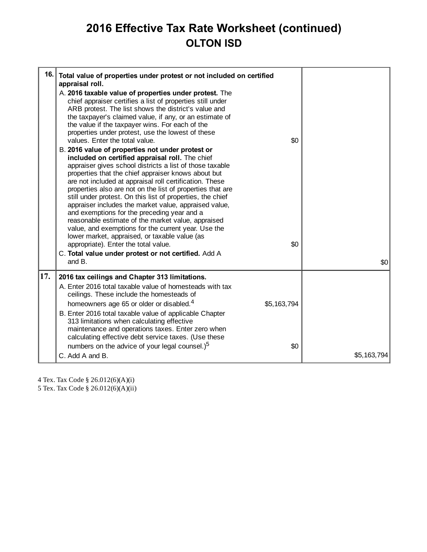## **2016 Effective Tax Rate Worksheet (continued) OLTON ISD**

| 16. | Total value of properties under protest or not included on certified<br>appraisal roll.<br>A. 2016 taxable value of properties under protest. The<br>chief appraiser certifies a list of properties still under<br>ARB protest. The list shows the district's value and<br>the taxpayer's claimed value, if any, or an estimate of<br>the value if the taxpayer wins. For each of the<br>properties under protest, use the lowest of these<br>values. Enter the total value.<br>B. 2016 value of properties not under protest or<br>included on certified appraisal roll. The chief<br>appraiser gives school districts a list of those taxable<br>properties that the chief appraiser knows about but<br>are not included at appraisal roll certification. These<br>properties also are not on the list of properties that are<br>still under protest. On this list of properties, the chief<br>appraiser includes the market value, appraised value,<br>and exemptions for the preceding year and a<br>reasonable estimate of the market value, appraised<br>value, and exemptions for the current year. Use the<br>lower market, appraised, or taxable value (as<br>appropriate). Enter the total value.<br>C. Total value under protest or not certified. Add A<br>and B. | \$0<br>\$0  | \$0         |
|-----|-------------------------------------------------------------------------------------------------------------------------------------------------------------------------------------------------------------------------------------------------------------------------------------------------------------------------------------------------------------------------------------------------------------------------------------------------------------------------------------------------------------------------------------------------------------------------------------------------------------------------------------------------------------------------------------------------------------------------------------------------------------------------------------------------------------------------------------------------------------------------------------------------------------------------------------------------------------------------------------------------------------------------------------------------------------------------------------------------------------------------------------------------------------------------------------------------------------------------------------------------------------------------------|-------------|-------------|
| 17. | 2016 tax ceilings and Chapter 313 limitations.<br>A. Enter 2016 total taxable value of homesteads with tax                                                                                                                                                                                                                                                                                                                                                                                                                                                                                                                                                                                                                                                                                                                                                                                                                                                                                                                                                                                                                                                                                                                                                                    |             |             |
|     | ceilings. These include the homesteads of<br>homeowners age 65 or older or disabled. <sup>4</sup><br>B. Enter 2016 total taxable value of applicable Chapter<br>313 limitations when calculating effective<br>maintenance and operations taxes. Enter zero when                                                                                                                                                                                                                                                                                                                                                                                                                                                                                                                                                                                                                                                                                                                                                                                                                                                                                                                                                                                                               | \$5,163,794 |             |
|     | calculating effective debt service taxes. (Use these<br>numbers on the advice of your legal counsel.) <sup>5</sup><br>C. Add A and B.                                                                                                                                                                                                                                                                                                                                                                                                                                                                                                                                                                                                                                                                                                                                                                                                                                                                                                                                                                                                                                                                                                                                         | \$0         | \$5,163,794 |

4 Tex. Tax Code § 26.012(6)(A)(i)

5 Tex. Tax Code § 26.012(6)(A)(ii)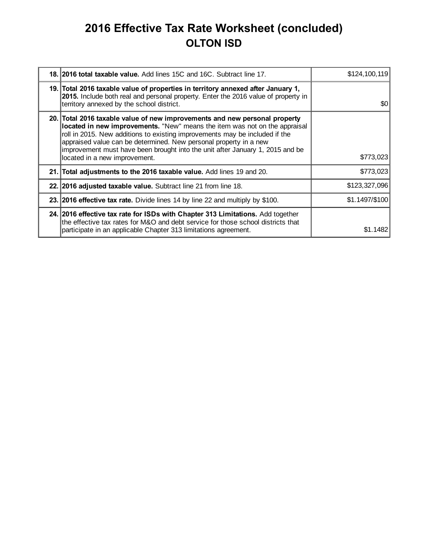## **2016 Effective Tax Rate Worksheet (concluded) OLTON ISD**

| 18. 2016 total taxable value. Add lines 15C and 16C. Subtract line 17.                                                                                                                                                                                                                                                                                                                                                         | \$124,100,119  |
|--------------------------------------------------------------------------------------------------------------------------------------------------------------------------------------------------------------------------------------------------------------------------------------------------------------------------------------------------------------------------------------------------------------------------------|----------------|
| 19. Total 2016 taxable value of properties in territory annexed after January 1,<br>2015. Include both real and personal property. Enter the 2016 value of property in<br>territory annexed by the school district.                                                                                                                                                                                                            | \$0            |
| 20. Total 2016 taxable value of new improvements and new personal property<br>located in new improvements. "New" means the item was not on the appraisal<br>roll in 2015. New additions to existing improvements may be included if the<br>appraised value can be determined. New personal property in a new<br>improvement must have been brought into the unit after January 1, 2015 and be<br>located in a new improvement. | \$773,023      |
| 21. Total adjustments to the 2016 taxable value. Add lines 19 and 20.                                                                                                                                                                                                                                                                                                                                                          | \$773,023      |
| 22. 2016 adjusted taxable value. Subtract line 21 from line 18.                                                                                                                                                                                                                                                                                                                                                                | \$123,327,096  |
| 23. 2016 effective tax rate. Divide lines 14 by line 22 and multiply by \$100.                                                                                                                                                                                                                                                                                                                                                 | \$1.1497/\$100 |
| 24. 2016 effective tax rate for ISDs with Chapter 313 Limitations. Add together<br>the effective tax rates for M&O and debt service for those school districts that<br>participate in an applicable Chapter 313 limitations agreement.                                                                                                                                                                                         | \$1.1482       |
|                                                                                                                                                                                                                                                                                                                                                                                                                                |                |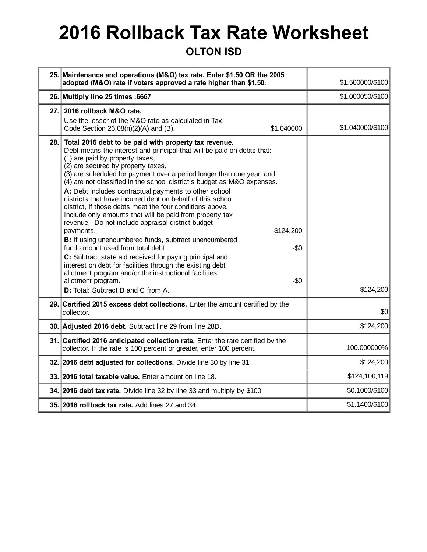# **2016 Rollback Tax Rate Worksheet**

#### **OLTON ISD**

|      | 25. Maintenance and operations (M&O) tax rate. Enter \$1.50 OR the 2005<br>adopted (M&O) rate if voters approved a rate higher than \$1.50.                                                                                                                                                                                                                                                                                                                                                                                                                                                                                                                                                                                                                                                                                                                                                                                                                                                                                                                      | \$1.500000/\$100 |
|------|------------------------------------------------------------------------------------------------------------------------------------------------------------------------------------------------------------------------------------------------------------------------------------------------------------------------------------------------------------------------------------------------------------------------------------------------------------------------------------------------------------------------------------------------------------------------------------------------------------------------------------------------------------------------------------------------------------------------------------------------------------------------------------------------------------------------------------------------------------------------------------------------------------------------------------------------------------------------------------------------------------------------------------------------------------------|------------------|
|      | 26. Multiply line 25 times .6667                                                                                                                                                                                                                                                                                                                                                                                                                                                                                                                                                                                                                                                                                                                                                                                                                                                                                                                                                                                                                                 | \$1.000050/\$100 |
| 27.  | 2016 rollback M&O rate.<br>Use the lesser of the M&O rate as calculated in Tax<br>\$1.040000<br>Code Section $26.08(n)(2)(A)$ and (B).                                                                                                                                                                                                                                                                                                                                                                                                                                                                                                                                                                                                                                                                                                                                                                                                                                                                                                                           | \$1.040000/\$100 |
| 28.  | Total 2016 debt to be paid with property tax revenue.<br>Debt means the interest and principal that will be paid on debts that:<br>(1) are paid by property taxes,<br>(2) are secured by property taxes,<br>(3) are scheduled for payment over a period longer than one year, and<br>(4) are not classified in the school district's budget as M&O expenses.<br>A: Debt includes contractual payments to other school<br>districts that have incurred debt on behalf of this school<br>district, if those debts meet the four conditions above.<br>Include only amounts that will be paid from property tax<br>revenue. Do not include appraisal district budget<br>payments.<br>\$124,200<br>B: If using unencumbered funds, subtract unencumbered<br>fund amount used from total debt.<br>$-\$0$<br>C: Subtract state aid received for paying principal and<br>interest on debt for facilities through the existing debt<br>allotment program and/or the instructional facilities<br>$-\$0$<br>allotment program.<br><b>D:</b> Total: Subtract B and C from A. | \$124,200        |
| 29.1 | Certified 2015 excess debt collections. Enter the amount certified by the<br>collector.                                                                                                                                                                                                                                                                                                                                                                                                                                                                                                                                                                                                                                                                                                                                                                                                                                                                                                                                                                          | \$0              |
|      | 30. Adjusted 2016 debt. Subtract line 29 from line 28D.                                                                                                                                                                                                                                                                                                                                                                                                                                                                                                                                                                                                                                                                                                                                                                                                                                                                                                                                                                                                          | \$124,200        |
|      | 31. Certified 2016 anticipated collection rate. Enter the rate certified by the<br>collector. If the rate is 100 percent or greater, enter 100 percent.                                                                                                                                                                                                                                                                                                                                                                                                                                                                                                                                                                                                                                                                                                                                                                                                                                                                                                          | 100.000000%      |
|      | 32. 2016 debt adjusted for collections. Divide line 30 by line 31.                                                                                                                                                                                                                                                                                                                                                                                                                                                                                                                                                                                                                                                                                                                                                                                                                                                                                                                                                                                               | \$124,200        |
|      | 33. 2016 total taxable value. Enter amount on line 18.                                                                                                                                                                                                                                                                                                                                                                                                                                                                                                                                                                                                                                                                                                                                                                                                                                                                                                                                                                                                           | \$124, 100, 119  |
|      | 34. 2016 debt tax rate. Divide line 32 by line 33 and multiply by \$100.                                                                                                                                                                                                                                                                                                                                                                                                                                                                                                                                                                                                                                                                                                                                                                                                                                                                                                                                                                                         | \$0.1000/\$100   |
|      | 35. 2016 rollback tax rate. Add lines 27 and 34.                                                                                                                                                                                                                                                                                                                                                                                                                                                                                                                                                                                                                                                                                                                                                                                                                                                                                                                                                                                                                 | \$1.1400/\$100   |